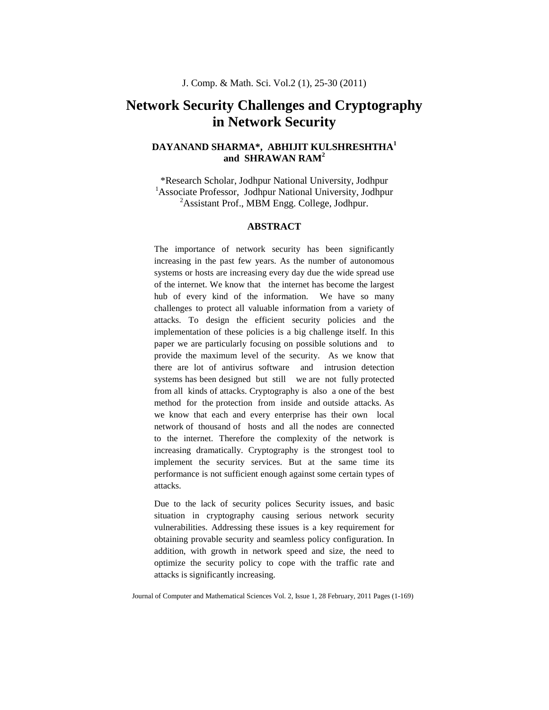# **Network Security Challenges and Cryptography in Network Security**

# **DAYANAND SHARMA\*, ABHIJIT KULSHRESHTHA<sup>1</sup> and SHRAWAN RAM<sup>2</sup>**

\*Research Scholar, Jodhpur National University, Jodhpur <sup>1</sup>Associate Professor, Jodhpur National University, Jodhpur  ${}^{2}$ Assistant Prof., MBM Engg. College, Jodhpur.

# **ABSTRACT**

The importance of network security has been significantly increasing in the past few years. As the number of autonomous systems or hosts are increasing every day due the wide spread use of the internet. We know that the internet has become the largest hub of every kind of the information. We have so many challenges to protect all valuable information from a variety of attacks. To design the efficient security policies and the implementation of these policies is a big challenge itself. In this paper we are particularly focusing on possible solutions and to provide the maximum level of the security. As we know that there are lot of antivirus software and intrusion detection systems has been designed but still we are not fully protected from all kinds of attacks. Cryptography is also a one of the best method for the protection from inside and outside attacks. As we know that each and every enterprise has their own local network of thousand of hosts and all the nodes are connected to the internet. Therefore the complexity of the network is increasing dramatically. Cryptography is the strongest tool to implement the security services. But at the same time its performance is not sufficient enough against some certain types of attacks.

Due to the lack of security polices Security issues, and basic situation in cryptography causing serious network security vulnerabilities. Addressing these issues is a key requirement for obtaining provable security and seamless policy configuration. In addition, with growth in network speed and size, the need to optimize the security policy to cope with the traffic rate and attacks is significantly increasing.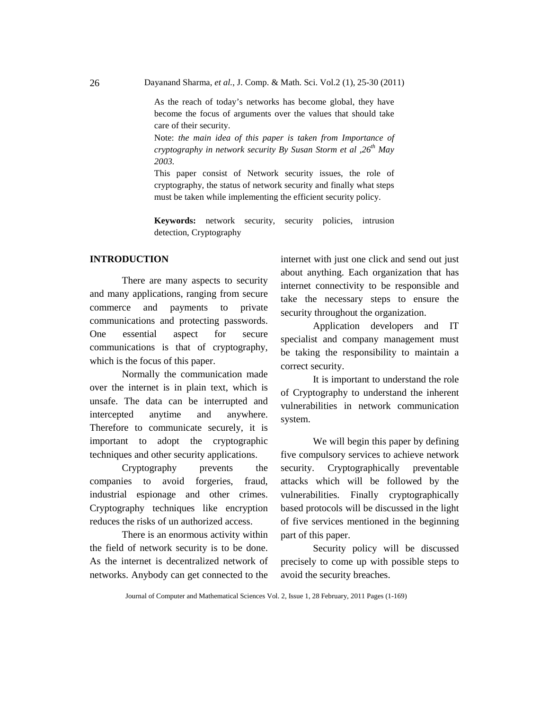Dayanand Sharma, *et al.*, J. Comp. & Math. Sci. Vol.2 (1), 25-30 (2011)

As the reach of today's networks has become global, they have become the focus of arguments over the values that should take care of their security.

Note: *the main idea of this paper is taken from Importance of cryptography in network security By Susan Storm et al ,26th May 2003.*

This paper consist of Network security issues, the role of cryptography, the status of network security and finally what steps must be taken while implementing the efficient security policy.

**Keywords:** network security, security policies, intrusion detection, Cryptography

# **INTRODUCTION**

There are many aspects to security and many applications, ranging from secure commerce and payments to private communications and protecting passwords. One essential aspect for secure communications is that of cryptography, which is the focus of this paper.

Normally the communication made over the internet is in plain text, which is unsafe. The data can be interrupted and intercepted anytime and anywhere. Therefore to communicate securely, it is important to adopt the cryptographic techniques and other security applications.

Cryptography prevents the companies to avoid forgeries, fraud, industrial espionage and other crimes. Cryptography techniques like encryption reduces the risks of un authorized access.

There is an enormous activity within the field of network security is to be done. As the internet is decentralized network of networks. Anybody can get connected to the

internet with just one click and send out just about anything. Each organization that has internet connectivity to be responsible and take the necessary steps to ensure the security throughout the organization.

Application developers and IT specialist and company management must be taking the responsibility to maintain a correct security.

It is important to understand the role of Cryptography to understand the inherent vulnerabilities in network communication system.

We will begin this paper by defining five compulsory services to achieve network security. Cryptographically preventable attacks which will be followed by the vulnerabilities. Finally cryptographically based protocols will be discussed in the light of five services mentioned in the beginning part of this paper.

Security policy will be discussed precisely to come up with possible steps to avoid the security breaches.

26

Journal of Computer and Mathematical Sciences Vol. 2, Issue 1, 28 February, 2011 Pages (1-169)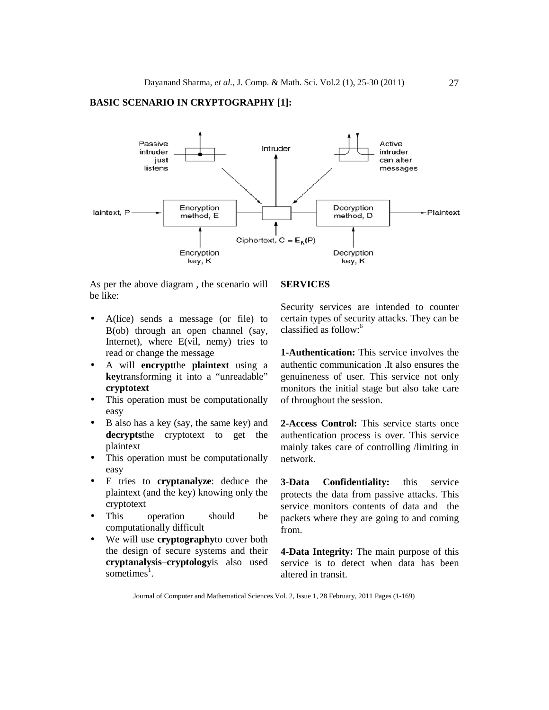# **BASIC SCENARIO IN CRYPTOGRAPHY [1]:**



As per the above diagram , the scenario will be like:

- A(lice) sends a message (or file) to B(ob) through an open channel (say, Internet), where E(vil, nemy) tries to read or change the message
- A will **encrypt**the **plaintext** using a **key**transforming it into a "unreadable" **cryptotext**
- This operation must be computationally easy
- B also has a key (say, the same key) and **decrypts**the cryptotext to get the plaintext
- This operation must be computationally easy
- E tries to **cryptanalyze**: deduce the plaintext (and the key) knowing only the cryptotext
- This operation should be computationally difficult
- We will use **cryptography**to cover both the design of secure systems and their **cryptanalysis**–**cryptology**is also used sometimes<sup>1</sup>.

#### **SERVICES**

Security services are intended to counter certain types of security attacks. They can be classified as follow:<sup>6</sup>

**1-Authentication:** This service involves the authentic communication .It also ensures the genuineness of user. This service not only monitors the initial stage but also take care of throughout the session.

**2-Access Control:** This service starts once authentication process is over. This service mainly takes care of controlling /limiting in network.

**3-Data Confidentiality:** this service protects the data from passive attacks. This service monitors contents of data and the packets where they are going to and coming from.

**4-Data Integrity:** The main purpose of this service is to detect when data has been altered in transit.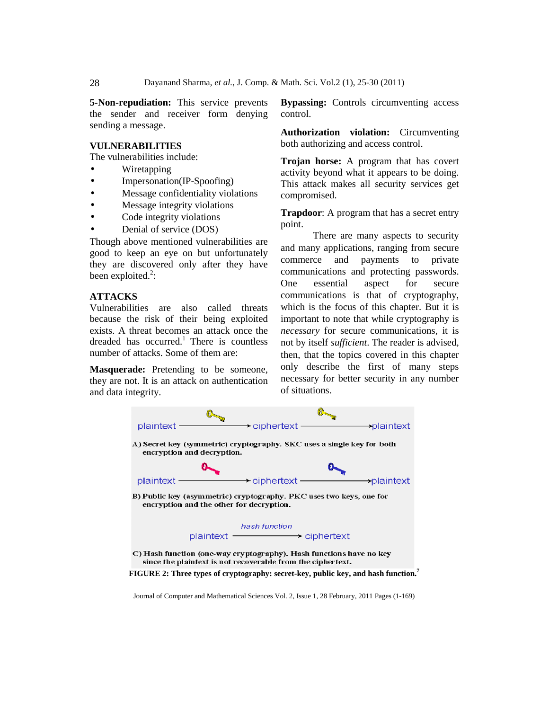**5-Non-repudiation:** This service prevents the sender and receiver form denying sending a message.

## **VULNERABILITIES**

The vulnerabilities include:

- Wiretapping
- Impersonation(IP-Spoofing)
- Message confidentiality violations
- Message integrity violations
- Code integrity violations
- Denial of service (DOS)

Though above mentioned vulnerabilities are good to keep an eye on but unfortunately they are discovered only after they have been exploited. $2$ :

# **ATTACKS**

Vulnerabilities are also called threats because the risk of their being exploited exists. A threat becomes an attack once the dreaded has occurred.<sup>1</sup> There is countless number of attacks. Some of them are:

**Masquerade:** Pretending to be someone, they are not. It is an attack on authentication and data integrity.

**Bypassing:** Controls circumventing access control.

**Authorization violation:** Circumventing both authorizing and access control.

**Trojan horse:** A program that has covert activity beyond what it appears to be doing. This attack makes all security services get compromised.

**Trapdoor**: A program that has a secret entry point.

There are many aspects to security and many applications, ranging from secure commerce and payments to private communications and protecting passwords. One essential aspect for secure communications is that of cryptography, which is the focus of this chapter. But it is important to note that while cryptography is *necessary* for secure communications, it is not by itself *sufficient*. The reader is advised, then, that the topics covered in this chapter only describe the first of many steps necessary for better security in any number of situations.



**FIGURE 2: Three types of cryptography: secret-key, public key, and hash function.<sup>7</sup>**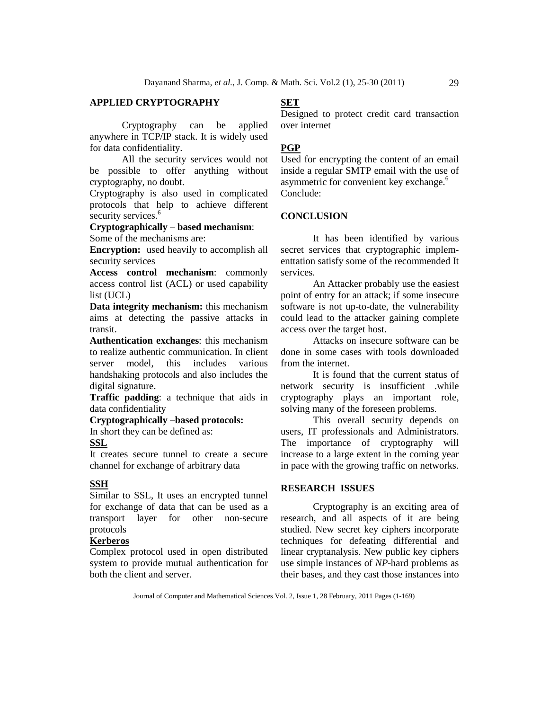# **APPLIED CRYPTOGRAPHY**

Cryptography can be applied anywhere in TCP/IP stack. It is widely used for data confidentiality.

All the security services would not be possible to offer anything without cryptography, no doubt.

Cryptography is also used in complicated protocols that help to achieve different security services.<sup>6</sup>

# **Cryptographically** – **based mechanism**:

Some of the mechanisms are:

**Encryption:** used heavily to accomplish all security services

**Access control mechanism**: commonly access control list (ACL) or used capability list (UCL)

**Data integrity mechanism:** this mechanism aims at detecting the passive attacks in transit.

**Authentication exchanges**: this mechanism to realize authentic communication. In client server model, this includes various handshaking protocols and also includes the digital signature.

**Traffic padding**: a technique that aids in data confidentiality

### **Cryptographically –based protocols:**

In short they can be defined as:

## **SSL**

It creates secure tunnel to create a secure channel for exchange of arbitrary data

#### **SSH**

Similar to SSL, It uses an encrypted tunnel for exchange of data that can be used as a transport layer for other non-secure protocols

## **Kerberos**

Complex protocol used in open distributed system to provide mutual authentication for both the client and server.

# **SET**

Designed to protect credit card transaction over internet

# **PGP**

Used for encrypting the content of an email inside a regular SMTP email with the use of asymmetric for convenient key exchange.<sup>6</sup> Conclude:

## **CONCLUSION**

It has been identified by various secret services that cryptographic implementtation satisfy some of the recommended It services.

An Attacker probably use the easiest point of entry for an attack; if some insecure software is not up-to-date, the vulnerability could lead to the attacker gaining complete access over the target host.

Attacks on insecure software can be done in some cases with tools downloaded from the internet.

It is found that the current status of network security is insufficient .while cryptography plays an important role, solving many of the foreseen problems.

This overall security depends on users, IT professionals and Administrators. The importance of cryptography will increase to a large extent in the coming year in pace with the growing traffic on networks.

# **RESEARCH ISSUES**

Cryptography is an exciting area of research, and all aspects of it are being studied. New secret key ciphers incorporate techniques for defeating differential and linear cryptanalysis. New public key ciphers use simple instances of *NP*-hard problems as their bases, and they cast those instances into